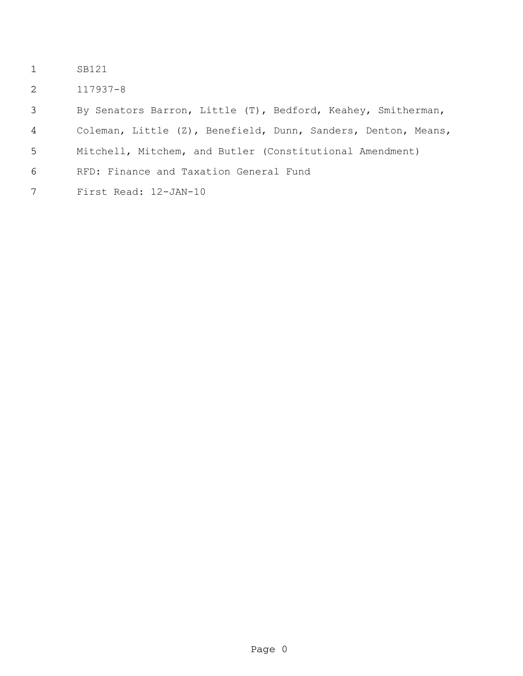- SB121
- 117937-8

By Senators Barron, Little (T), Bedford, Keahey, Smitherman,

- Coleman, Little (Z), Benefield, Dunn, Sanders, Denton, Means,
- Mitchell, Mitchem, and Butler (Constitutional Amendment)
- RFD: Finance and Taxation General Fund
- First Read: 12-JAN-10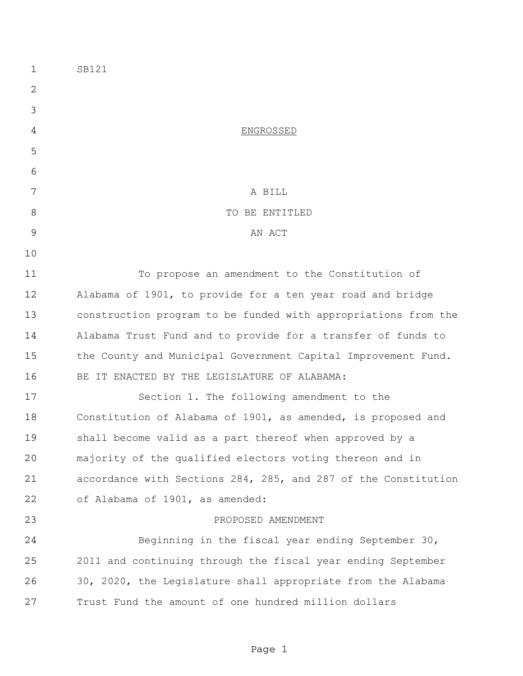| $\mathbf 1$ | SB121                                                          |
|-------------|----------------------------------------------------------------|
| 2           |                                                                |
| 3           |                                                                |
| 4           | <b>ENGROSSED</b>                                               |
| 5           |                                                                |
| 6           |                                                                |
| 7           | A BILL                                                         |
| 8           | TO BE ENTITLED                                                 |
| 9           | AN ACT                                                         |
| 10          |                                                                |
| 11          | To propose an amendment to the Constitution of                 |
| 12          | Alabama of 1901, to provide for a ten year road and bridge     |
| 13          | construction program to be funded with appropriations from the |
| 14          | Alabama Trust Fund and to provide for a transfer of funds to   |
| 15          | the County and Municipal Government Capital Improvement Fund.  |
| 16          | BE IT ENACTED BY THE LEGISLATURE OF ALABAMA:                   |
| 17          | Section 1. The following amendment to the                      |
| 18          | Constitution of Alabama of 1901, as amended, is proposed and   |
| 19          | shall become valid as a part thereof when approved by a        |
| 20          | majority of the qualified electors voting thereon and in       |
| 21          | accordance with Sections 284, 285, and 287 of the Constitution |
| 22          | of Alabama of 1901, as amended:                                |
| 23          | PROPOSED AMENDMENT                                             |
| 24          | Beginning in the fiscal year ending September 30,              |
| 25          | 2011 and continuing through the fiscal year ending September   |
| 26          | 30, 2020, the Legislature shall appropriate from the Alabama   |
| 27          | Trust Fund the amount of one hundred million dollars           |
|             |                                                                |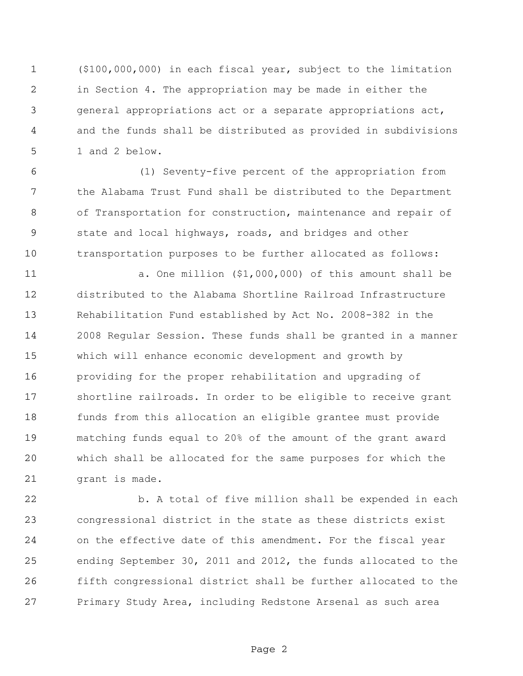(\$100,000,000) in each fiscal year, subject to the limitation in Section 4. The appropriation may be made in either the general appropriations act or a separate appropriations act, and the funds shall be distributed as provided in subdivisions 1 and 2 below.

 (1) Seventy-five percent of the appropriation from the Alabama Trust Fund shall be distributed to the Department of Transportation for construction, maintenance and repair of state and local highways, roads, and bridges and other transportation purposes to be further allocated as follows:

 a. One million (\$1,000,000) of this amount shall be distributed to the Alabama Shortline Railroad Infrastructure Rehabilitation Fund established by Act No. 2008-382 in the 2008 Regular Session. These funds shall be granted in a manner which will enhance economic development and growth by providing for the proper rehabilitation and upgrading of shortline railroads. In order to be eligible to receive grant funds from this allocation an eligible grantee must provide matching funds equal to 20% of the amount of the grant award which shall be allocated for the same purposes for which the grant is made.

 b. A total of five million shall be expended in each congressional district in the state as these districts exist on the effective date of this amendment. For the fiscal year ending September 30, 2011 and 2012, the funds allocated to the fifth congressional district shall be further allocated to the Primary Study Area, including Redstone Arsenal as such area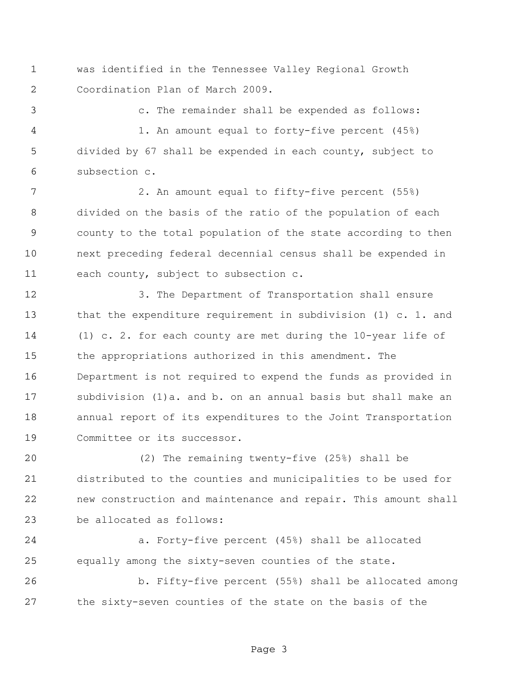was identified in the Tennessee Valley Regional Growth Coordination Plan of March 2009.

c. The remainder shall be expended as follows:

 1. An amount equal to forty-five percent (45%) divided by 67 shall be expended in each county, subject to subsection c.

 2. An amount equal to fifty-five percent (55%) divided on the basis of the ratio of the population of each county to the total population of the state according to then next preceding federal decennial census shall be expended in each county, subject to subsection c.

 3. The Department of Transportation shall ensure that the expenditure requirement in subdivision (1) c. 1. and (1) c. 2. for each county are met during the 10-year life of the appropriations authorized in this amendment. The Department is not required to expend the funds as provided in subdivision (1)a. and b. on an annual basis but shall make an annual report of its expenditures to the Joint Transportation Committee or its successor.

 (2) The remaining twenty-five (25%) shall be distributed to the counties and municipalities to be used for new construction and maintenance and repair. This amount shall be allocated as follows:

 a. Forty-five percent (45%) shall be allocated equally among the sixty-seven counties of the state.

 b. Fifty-five percent (55%) shall be allocated among the sixty-seven counties of the state on the basis of the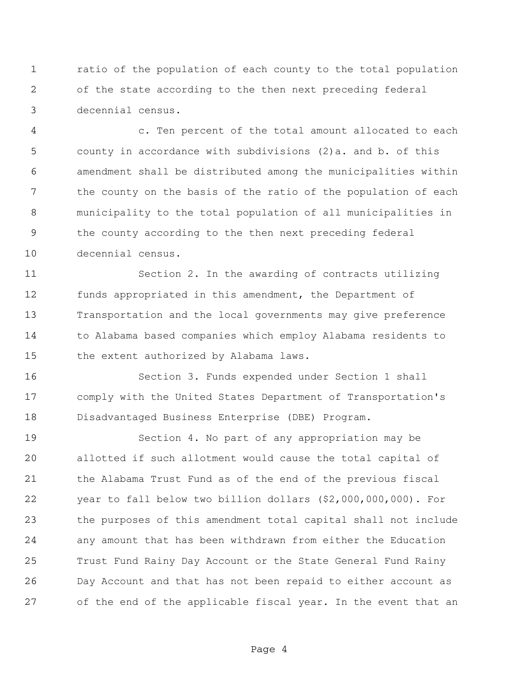ratio of the population of each county to the total population of the state according to the then next preceding federal decennial census.

 c. Ten percent of the total amount allocated to each county in accordance with subdivisions (2)a. and b. of this amendment shall be distributed among the municipalities within 7 the county on the basis of the ratio of the population of each municipality to the total population of all municipalities in the county according to the then next preceding federal decennial census.

 Section 2. In the awarding of contracts utilizing funds appropriated in this amendment, the Department of Transportation and the local governments may give preference to Alabama based companies which employ Alabama residents to the extent authorized by Alabama laws.

 Section 3. Funds expended under Section 1 shall comply with the United States Department of Transportation's Disadvantaged Business Enterprise (DBE) Program.

 Section 4. No part of any appropriation may be allotted if such allotment would cause the total capital of the Alabama Trust Fund as of the end of the previous fiscal year to fall below two billion dollars (\$2,000,000,000). For the purposes of this amendment total capital shall not include any amount that has been withdrawn from either the Education Trust Fund Rainy Day Account or the State General Fund Rainy Day Account and that has not been repaid to either account as of the end of the applicable fiscal year. In the event that an

Page 4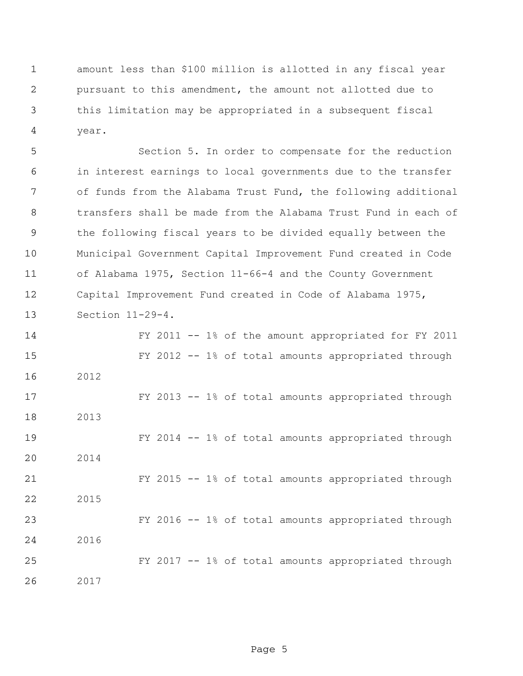amount less than \$100 million is allotted in any fiscal year pursuant to this amendment, the amount not allotted due to this limitation may be appropriated in a subsequent fiscal year.

 Section 5. In order to compensate for the reduction in interest earnings to local governments due to the transfer of funds from the Alabama Trust Fund, the following additional transfers shall be made from the Alabama Trust Fund in each of the following fiscal years to be divided equally between the Municipal Government Capital Improvement Fund created in Code of Alabama 1975, Section 11-66-4 and the County Government Capital Improvement Fund created in Code of Alabama 1975, Section 11-29-4. FY 2011 -- 1% of the amount appropriated for FY 2011 FY 2012 -- 1% of total amounts appropriated through

 FY 2013 -- 1% of total amounts appropriated through 2013 FY 2014 -- 1% of total amounts appropriated through 2014 FY 2015 -- 1% of total amounts appropriated through 2015 FY 2016 -- 1% of total amounts appropriated through 2016 FY 2017 -- 1% of total amounts appropriated through

2017

2012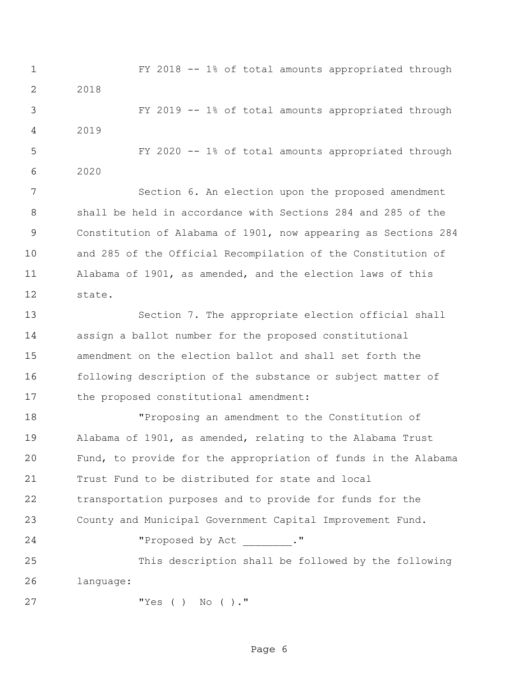FY 2018 -- 1% of total amounts appropriated through 2018 FY 2019 -- 1% of total amounts appropriated through 2019 FY 2020 -- 1% of total amounts appropriated through 2020

 Section 6. An election upon the proposed amendment shall be held in accordance with Sections 284 and 285 of the Constitution of Alabama of 1901, now appearing as Sections 284 and 285 of the Official Recompilation of the Constitution of Alabama of 1901, as amended, and the election laws of this state.

 Section 7. The appropriate election official shall assign a ballot number for the proposed constitutional amendment on the election ballot and shall set forth the following description of the substance or subject matter of the proposed constitutional amendment:

 "Proposing an amendment to the Constitution of Alabama of 1901, as amended, relating to the Alabama Trust Fund, to provide for the appropriation of funds in the Alabama Trust Fund to be distributed for state and local transportation purposes and to provide for funds for the County and Municipal Government Capital Improvement Fund. 24 "Proposed by Act \_\_\_\_\_\_\_."

 This description shall be followed by the following language:

"Yes ( ) No ( )."